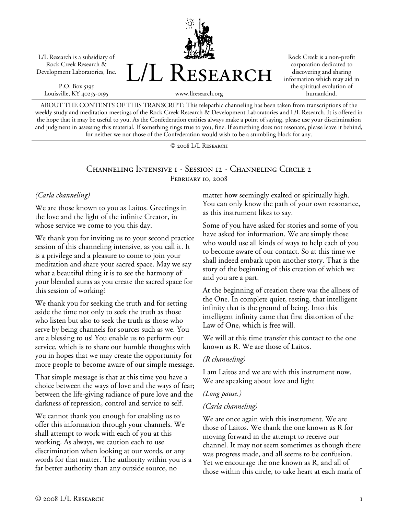L/L Research is a subsidiary of Rock Creek Research & Development Laboratories, Inc.

P.O. Box 5195 Louisville, KY 40255-0195



Rock Creek is a non-profit corporation dedicated to discovering and sharing information which may aid in the spiritual evolution of humankind.

www.llresearch.org

ABOUT THE CONTENTS OF THIS TRANSCRIPT: This telepathic channeling has been taken from transcriptions of the weekly study and meditation meetings of the Rock Creek Research & Development Laboratories and L/L Research. It is offered in the hope that it may be useful to you. As the Confederation entities always make a point of saying, please use your discrimination and judgment in assessing this material. If something rings true to you, fine. If something does not resonate, please leave it behind, for neither we nor those of the Confederation would wish to be a stumbling block for any.

© 2008 L/L Research

#### Channeling Intensive 1 - Session 12 - Channeling Circle 2 FEBRUARY 10, 2008

#### *(Carla channeling)*

We are those known to you as Laitos. Greetings in the love and the light of the infinite Creator, in whose service we come to you this day.

We thank you for inviting us to your second practice session of this channeling intensive, as you call it. It is a privilege and a pleasure to come to join your meditation and share your sacred space. May we say what a beautiful thing it is to see the harmony of your blended auras as you create the sacred space for this session of working?

We thank you for seeking the truth and for setting aside the time not only to seek the truth as those who listen but also to seek the truth as those who serve by being channels for sources such as we. You are a blessing to us! You enable us to perform our service, which is to share our humble thoughts with you in hopes that we may create the opportunity for more people to become aware of our simple message.

That simple message is that at this time you have a choice between the ways of love and the ways of fear; between the life-giving radiance of pure love and the darkness of repression, control and service to self.

We cannot thank you enough for enabling us to offer this information through your channels. We shall attempt to work with each of you at this working. As always, we caution each to use discrimination when looking at our words, or any words for that matter. The authority within you is a far better authority than any outside source, no

matter how seemingly exalted or spiritually high. You can only know the path of your own resonance, as this instrument likes to say.

Some of you have asked for stories and some of you have asked for information. We are simply those who would use all kinds of ways to help each of you to become aware of our contact. So at this time we shall indeed embark upon another story. That is the story of the beginning of this creation of which we and you are a part.

At the beginning of creation there was the allness of the One. In complete quiet, resting, that intelligent infinity that is the ground of being. Into this intelligent infinity came that first distortion of the Law of One, which is free will.

We will at this time transfer this contact to the one known as R. We are those of Laitos.

### *(R channeling)*

I am Laitos and we are with this instrument now. We are speaking about love and light

### *(Long pause.)*

### *(Carla channeling)*

We are once again with this instrument. We are those of Laitos. We thank the one known as R for moving forward in the attempt to receive our channel. It may not seem sometimes as though there was progress made, and all seems to be confusion. Yet we encourage the one known as R, and all of those within this circle, to take heart at each mark of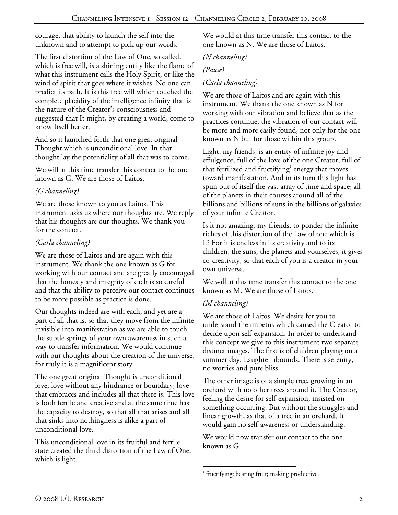courage, that ability to launch the self into the unknown and to attempt to pick up our words.

The first distortion of the Law of One, so called, which is free will, is a shining entity like the flame of what this instrument calls the Holy Spirit, or like the wind of spirit that goes where it wishes. No one can predict its path. It is this free will which touched the complete placidity of the intelligence infinity that is the nature of the Creator's consciousness and suggested that It might, by creating a world, come to know Itself better.

And so it launched forth that one great original Thought which is unconditional love. In that thought lay the potentiality of all that was to come.

We will at this time transfer this contact to the one known as G. We are those of Laitos.

## *(G channeling)*

We are those known to you as Laitos. This instrument asks us where our thoughts are. We reply that his thoughts are our thoughts. We thank you for the contact.

# *(Carla channeling)*

We are those of Laitos and are again with this instrument. We thank the one known as G for working with our contact and are greatly encouraged that the honesty and integrity of each is so careful and that the ability to perceive our contact continues to be more possible as practice is done.

Our thoughts indeed are with each, and yet are a part of all that is, so that they move from the infinite invisible into manifestation as we are able to touch the subtle springs of your own awareness in such a way to transfer information. We would continue with our thoughts about the creation of the universe, for truly it is a magnificent story.

The one great original Thought is unconditional love; love without any hindrance or boundary; love that embraces and includes all that there is. This love is both fertile and creative and at the same time has the capacity to destroy, so that all that arises and all that sinks into nothingness is alike a part of unconditional love.

This unconditional love in its fruitful and fertile state created the third distortion of the Law of One, which is light.

We would at this time transfer this contact to the one known as N. We are those of Laitos.

*(N channeling)* 

## *(Pause)*

# *(Carla channeling)*

We are those of Laitos and are again with this instrument. We thank the one known as N for working with our vibration and believe that as the practices continue, the vibration of our contact will be more and more easily found, not only for the one known as N but for those within this group.

Light, my friends, is an entity of infinite joy and effulgence, full of the love of the one Creator; full of that fertilized and fructifying $^1$  energy that moves toward manifestation. And in its turn this light has spun out of itself the vast array of time and space; all of the planets in their courses around all of the billions and billions of suns in the billions of galaxies of your infinite Creator.

Is it not amazing, my friends, to ponder the infinite riches of this distortion of the Law of one which is L? For it is endless in its creativity and to its children, the suns, the planets and yourselves, it gives co-creativity, so that each of you is a creator in your own universe.

We will at this time transfer this contact to the one known as M. We are those of Laitos.

# *(M channeling)*

We are those of Laitos. We desire for you to understand the impetus which caused the Creator to decide upon self-expansion. In order to understand this concept we give to this instrument two separate distinct images. The first is of children playing on a summer day. Laughter abounds. There is serenity, no worries and pure bliss.

The other image is of a simple tree, growing in an orchard with no other trees around it. The Creator, feeling the desire for self-expansion, insisted on something occurring. But without the struggles and linear growth, as that of a tree in an orchard, It would gain no self-awareness or understanding.

We would now transfer our contact to the one known as G.

 $\overline{a}$ <sup>1</sup> fructifying: bearing fruit; making productive.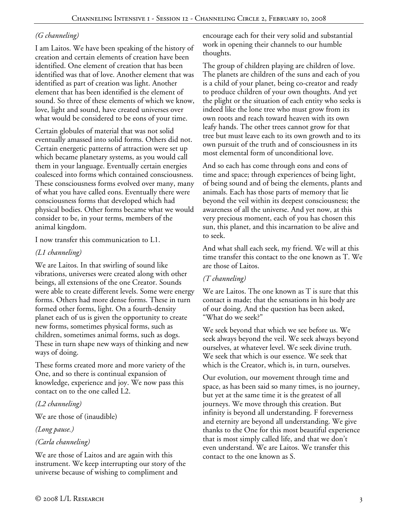## *(G channeling)*

I am Laitos. We have been speaking of the history of creation and certain elements of creation have been identified. One element of creation that has been identified was that of love. Another element that was identified as part of creation was light. Another element that has been identified is the element of sound. So three of these elements of which we know, love, light and sound, have created universes over what would be considered to be eons of your time.

Certain globules of material that was not solid eventually amassed into solid forms. Others did not. Certain energetic patterns of attraction were set up which became planetary systems, as you would call them in your language. Eventually certain energies coalesced into forms which contained consciousness. These consciousness forms evolved over many, many of what you have called eons. Eventually there were consciousness forms that developed which had physical bodies. Other forms became what we would consider to be, in your terms, members of the animal kingdom.

I now transfer this communication to L1.

#### *(L1 channeling)*

We are Laitos. In that swirling of sound like vibrations, universes were created along with other beings, all extensions of the one Creator. Sounds were able to create different levels. Some were energy forms. Others had more dense forms. These in turn formed other forms, light. On a fourth-density planet each of us is given the opportunity to create new forms, sometimes physical forms, such as children, sometimes animal forms, such as dogs. These in turn shape new ways of thinking and new ways of doing.

These forms created more and more variety of the One, and so there is continual expansion of knowledge, experience and joy. We now pass this contact on to the one called L2.

*(L2 channeling)* 

We are those of (inaudible)

*(Long pause.)* 

### *(Carla channeling)*

We are those of Laitos and are again with this instrument. We keep interrupting our story of the universe because of wishing to compliment and

encourage each for their very solid and substantial work in opening their channels to our humble thoughts.

The group of children playing are children of love. The planets are children of the suns and each of you is a child of your planet, being co-creator and ready to produce children of your own thoughts. And yet the plight or the situation of each entity who seeks is indeed like the lone tree who must grow from its own roots and reach toward heaven with its own leafy hands. The other trees cannot grow for that tree but must leave each to its own growth and to its own pursuit of the truth and of consciousness in its most elemental form of unconditional love.

And so each has come through eons and eons of time and space; through experiences of being light, of being sound and of being the elements, plants and animals. Each has those parts of memory that lie beyond the veil within its deepest consciousness; the awareness of all the universe. And yet now, at this very precious moment, each of you has chosen this sun, this planet, and this incarnation to be alive and to seek.

And what shall each seek, my friend. We will at this time transfer this contact to the one known as T. We are those of Laitos.

### *(T channeling)*

We are Laitos. The one known as T is sure that this contact is made; that the sensations in his body are of our doing. And the question has been asked, "What do we seek?"

We seek beyond that which we see before us. We seek always beyond the veil. We seek always beyond ourselves, at whatever level. We seek divine truth. We seek that which is our essence. We seek that which is the Creator, which is, in turn, ourselves.

Our evolution, our movement through time and space, as has been said so many times, is no journey, but yet at the same time it is the greatest of all journeys. We move through this creation. But infinity is beyond all understanding. F foreverness and eternity are beyond all understanding. We give thanks to the One for this most beautiful experience that is most simply called life, and that we don't even understand. We are Laitos. We transfer this contact to the one known as S.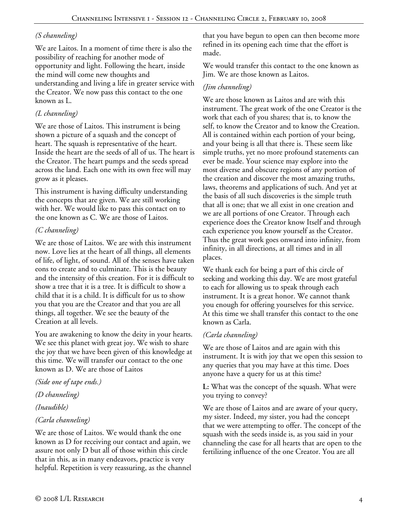### *(S channeling)*

We are Laitos. In a moment of time there is also the possibility of reaching for another mode of opportunity and light. Following the heart, inside the mind will come new thoughts and understanding and living a life in greater service with the Creator. We now pass this contact to the one known as L.

## *(L channeling)*

We are those of Laitos. This instrument is being shown a picture of a squash and the concept of heart. The squash is representative of the heart. Inside the heart are the seeds of all of us. The heart is the Creator. The heart pumps and the seeds spread across the land. Each one with its own free will may grow as it pleases.

This instrument is having difficulty understanding the concepts that are given. We are still working with her. We would like to pass this contact on to the one known as C. We are those of Laitos.

# *(C channeling)*

We are those of Laitos. We are with this instrument now. Love lies at the heart of all things, all elements of life, of light, of sound. All of the senses have taken eons to create and to culminate. This is the beauty and the intensity of this creation. For it is difficult to show a tree that it is a tree. It is difficult to show a child that it is a child. It is difficult for us to show you that you are the Creator and that you are all things, all together. We see the beauty of the Creation at all levels.

You are awakening to know the deity in your hearts. We see this planet with great joy. We wish to share the joy that we have been given of this knowledge at this time. We will transfer our contact to the one known as D. We are those of Laitos

*(Side one of tape ends.)* 

### *(D channeling)*

### *(Inaudible)*

# *(Carla channeling)*

We are those of Laitos. We would thank the one known as D for receiving our contact and again, we assure not only D but all of those within this circle that in this, as in many endeavors, practice is very helpful. Repetition is very reassuring, as the channel that you have begun to open can then become more refined in its opening each time that the effort is made.

We would transfer this contact to the one known as Jim. We are those known as Laitos.

## *(Jim channeling)*

We are those known as Laitos and are with this instrument. The great work of the one Creator is the work that each of you shares; that is, to know the self, to know the Creator and to know the Creation. All is contained within each portion of your being, and your being is all that there is. These seem like simple truths, yet no more profound statements can ever be made. Your science may explore into the most diverse and obscure regions of any portion of the creation and discover the most amazing truths, laws, theorems and applications of such. And yet at the basis of all such discoveries is the simple truth that all is one; that we all exist in one creation and we are all portions of one Creator. Through each experience does the Creator know Itself and through each experience you know yourself as the Creator. Thus the great work goes onward into infinity, from infinity, in all directions, at all times and in all places.

We thank each for being a part of this circle of seeking and working this day. We are most grateful to each for allowing us to speak through each instrument. It is a great honor. We cannot thank you enough for offering yourselves for this service. At this time we shall transfer this contact to the one known as Carla.

# *(Carla channeling)*

We are those of Laitos and are again with this instrument. It is with joy that we open this session to any queries that you may have at this time. Does anyone have a query for us at this time?

**L:** What was the concept of the squash. What were you trying to convey?

We are those of Laitos and are aware of your query, my sister. Indeed, my sister, you had the concept that we were attempting to offer. The concept of the squash with the seeds inside is, as you said in your channeling the case for all hearts that are open to the fertilizing influence of the one Creator. You are all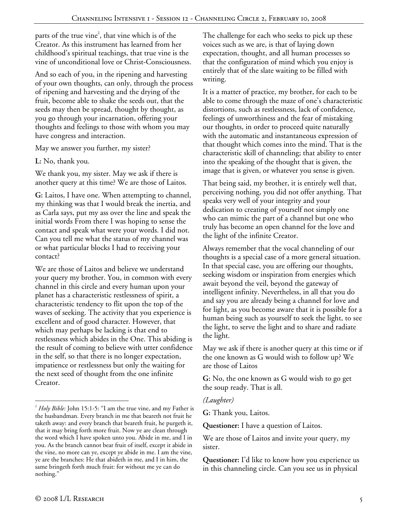parts of the true vine<sup>2</sup>, that vine which is of the Creator. As this instrument has learned from her childhood's spiritual teachings, that true vine is the vine of unconditional love or Christ-Consciousness.

And so each of you, in the ripening and harvesting of your own thoughts, can only, through the process of ripening and harvesting and the drying of the fruit, become able to shake the seeds out, that the seeds may then be spread, thought by thought, as you go through your incarnation, offering your thoughts and feelings to those with whom you may have congress and interaction.

May we answer you further, my sister?

**L:** No, thank you.

We thank you, my sister. May we ask if there is another query at this time? We are those of Laitos.

**G:** Laitos, I have one. When attempting to channel, my thinking was that I would break the inertia, and as Carla says, put my ass over the line and speak the initial words From there I was hoping to sense the contact and speak what were your words. I did not. Can you tell me what the status of my channel was or what particular blocks I had to receiving your contact?

We are those of Laitos and believe we understand your query my brother. You, in common with every channel in this circle and every human upon your planet has a characteristic restlessness of spirit, a characteristic tendency to flit upon the top of the waves of seeking. The activity that you experience is excellent and of good character. However, that which may perhaps be lacking is that end to restlessness which abides in the One. This abiding is the result of coming to believe with utter confidence in the self, so that there is no longer expectation, impatience or restlessness but only the waiting for the next seed of thought from the one infinite Creator.

The challenge for each who seeks to pick up these voices such as we are, is that of laying down expectation, thought, and all human processes so that the configuration of mind which you enjoy is entirely that of the slate waiting to be filled with writing.

It is a matter of practice, my brother, for each to be able to come through the maze of one's characteristic distortions, such as restlessness, lack of confidence, feelings of unworthiness and the fear of mistaking our thoughts, in order to proceed quite naturally with the automatic and instantaneous expression of that thought which comes into the mind. That is the characteristic skill of channeling; that ability to enter into the speaking of the thought that is given, the image that is given, or whatever you sense is given.

That being said, my brother, it is entirely well that, perceiving nothing, you did not offer anything. That speaks very well of your integrity and your dedication to creating of yourself not simply one who can mimic the part of a channel but one who truly has become an open channel for the love and the light of the infinite Creator.

Always remember that the vocal channeling of our thoughts is a special case of a more general situation. In that special case, you are offering our thoughts, seeking wisdom or inspiration from energies which await beyond the veil, beyond the gateway of intelligent infinity. Nevertheless, in all that you do and say you are already being a channel for love and for light, as you become aware that it is possible for a human being such as yourself to seek the light, to see the light, to serve the light and to share and radiate the light.

May we ask if there is another query at this time or if the one known as G would wish to follow up? We are those of Laitos

**G:** No, the one known as G would wish to go get the soup ready. That is all.

### *(Laughter)*

**G:** Thank you, Laitos.

**Questioner:** I have a question of Laitos.

We are those of Laitos and invite your query, my sister.

**Questioner:** I'd like to know how you experience us in this channeling circle. Can you see us in physical

l

<sup>2</sup> *Holy Bible:* John 15:1-5: "I am the true vine, and my Father is the husbandman. Every branch in me that beareth not fruit he taketh away: and every branch that beareth fruit, he purgeth it, that it may bring forth more fruit. Now ye are clean through the word which I have spoken unto you. Abide in me, and I in you. As the branch cannot bear fruit of itself, except it abide in the vine, no more can ye, except ye abide in me. I am the vine, ye are the branches: He that abideth in me, and I in him, the same bringeth forth much fruit: for without me ye can do nothing."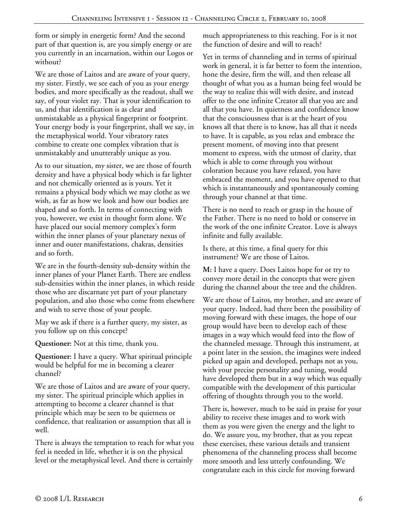form or simply in energetic form? And the second part of that question is, are you simply energy or are you currently in an incarnation, within our Logos or without?

We are those of Laitos and are aware of your query, my sister. Firstly, we see each of you as your energy bodies, and more specifically as the readout, shall we say, of your violet ray. That is your identification to us, and that identification is as clear and unmistakable as a physical fingerprint or footprint. Your energy body is your fingerprint, shall we say, in the metaphysical world. Your vibratory rates combine to create one complex vibration that is unmistakably and unutterably unique as you.

As to our situation, my sister, we are those of fourth density and have a physical body which is far lighter and not chemically oriented as is yours. Yet it remains a physical body which we may clothe as we wish, as far as how we look and how our bodies are shaped and so forth. In terms of connecting with you, however, we exist in thought form alone. We have placed our social memory complex's form within the inner planes of your planetary nexus of inner and outer manifestations, chakras, densities and so forth.

We are in the fourth-density sub-density within the inner planes of your Planet Earth. There are endless sub-densities within the inner planes, in which reside those who are discarnate yet part of your planetary population, and also those who come from elsewhere and wish to serve those of your people.

May we ask if there is a further query, my sister, as you follow up on this concept?

**Questioner:** Not at this time, thank you.

**Questioner:** I have a query. What spiritual principle would be helpful for me in becoming a clearer channel?

We are those of Laitos and are aware of your query, my sister. The spiritual principle which applies in attempting to become a clearer channel is that principle which may be seen to be quietness or confidence, that realization or assumption that all is well.

There is always the temptation to reach for what you feel is needed in life, whether it is on the physical level or the metaphysical level. And there is certainly

much appropriateness to this reaching. For is it not the function of desire and will to reach?

Yet in terms of channeling and in terms of spiritual work in general, it is far better to form the intention, hone the desire, firm the will, and then release all thought of what you as a human being feel would be the way to realize this will with desire, and instead offer to the one infinite Creator all that you are and all that you have. In quietness and confidence know that the consciousness that is at the heart of you knows all that there is to know, has all that it needs to have. It is capable, as you relax and embrace the present moment, of moving into that present moment to express, with the utmost of clarity, that which is able to come through you without coloration because you have relaxed, you have embraced the moment, and you have opened to that which is instantaneously and spontaneously coming through your channel at that time.

There is no need to reach or grasp in the house of the Father. There is no need to hold or conserve in the work of the one infinite Creator. Love is always infinite and fully available.

Is there, at this time, a final query for this instrument? We are those of Laitos.

**M:** I have a query. Does Laitos hope for or try to convey more detail in the concepts that were given during the channel about the tree and the children.

We are those of Laitos, my brother, and are aware of your query. Indeed, had there been the possibility of moving forward with these images, the hope of our group would have been to develop each of these images in a way which would feed into the flow of the channeled message. Through this instrument, at a point later in the session, the imagines were indeed picked up again and developed, perhaps not as you, with your precise personality and tuning, would have developed them but in a way which was equally compatible with the development of this particular offering of thoughts through you to the world.

There is, however, much to be said in praise for your ability to receive these images and to work with them as you were given the energy and the light to do. We assure you, my brother, that as you repeat these exercises, these various details and transient phenomena of the channeling process shall become more smooth and less utterly confounding. We congratulate each in this circle for moving forward